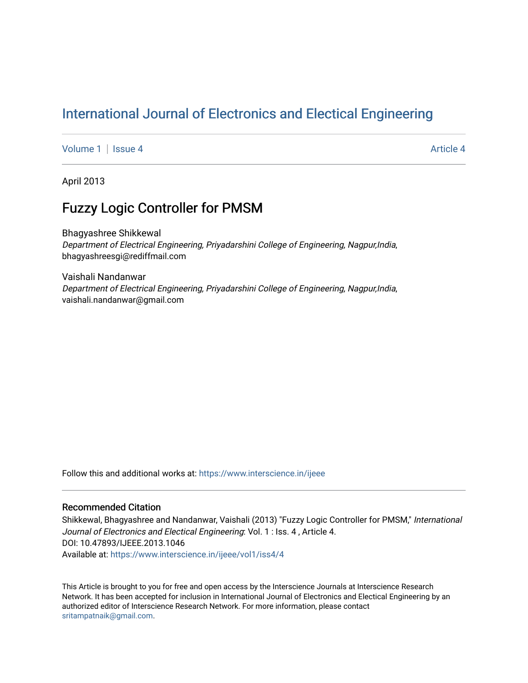# [International Journal of Electronics and Electical Engineering](https://www.interscience.in/ijeee)

[Volume 1](https://www.interscience.in/ijeee/vol1) | [Issue 4](https://www.interscience.in/ijeee/vol1/iss4) Article 4

April 2013

# Fuzzy Logic Controller for PMSM

Bhagyashree Shikkewal Department of Electrical Engineering, Priyadarshini College of Engineering, Nagpur,India, bhagyashreesgi@rediffmail.com

Vaishali Nandanwar Department of Electrical Engineering, Priyadarshini College of Engineering, Nagpur,India, vaishali.nandanwar@gmail.com

Follow this and additional works at: [https://www.interscience.in/ijeee](https://www.interscience.in/ijeee?utm_source=www.interscience.in%2Fijeee%2Fvol1%2Fiss4%2F4&utm_medium=PDF&utm_campaign=PDFCoverPages)

# Recommended Citation

Shikkewal, Bhagyashree and Nandanwar, Vaishali (2013) "Fuzzy Logic Controller for PMSM," International Journal of Electronics and Electical Engineering: Vol. 1 : Iss. 4 , Article 4. DOI: 10.47893/IJEEE.2013.1046 Available at: [https://www.interscience.in/ijeee/vol1/iss4/4](https://www.interscience.in/ijeee/vol1/iss4/4?utm_source=www.interscience.in%2Fijeee%2Fvol1%2Fiss4%2F4&utm_medium=PDF&utm_campaign=PDFCoverPages)

This Article is brought to you for free and open access by the Interscience Journals at Interscience Research Network. It has been accepted for inclusion in International Journal of Electronics and Electical Engineering by an authorized editor of Interscience Research Network. For more information, please contact [sritampatnaik@gmail.com](mailto:sritampatnaik@gmail.com).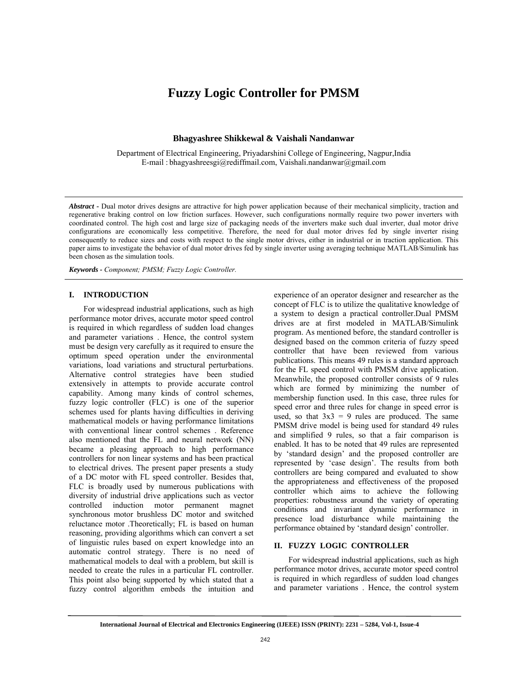# **Fuzzy Logic Controller for PMSM**

#### **Bhagyashree Shikkewal & Vaishali Nandanwar**

Department of Electrical Engineering, Priyadarshini College of Engineering, Nagpur,India E-mail : bhagyashreesgi@rediffmail.com, Vaishali.nandanwar@gmail.com

*Abstract* **-** Dual motor drives designs are attractive for high power application because of their mechanical simplicity, traction and regenerative braking control on low friction surfaces. However, such configurations normally require two power inverters with coordinated control. The high cost and large size of packaging needs of the inverters make such dual inverter, dual motor drive configurations are economically less competitive. Therefore, the need for dual motor drives fed by single inverter rising consequently to reduce sizes and costs with respect to the single motor drives, either in industrial or in traction application. This paper aims to investigate the behavior of dual motor drives fed by single inverter using averaging technique MATLAB/Simulink has been chosen as the simulation tools.

*Keywords - Component; PMSM; Fuzzy Logic Controller.*

### **I. INTRODUCTION**

 For widespread industrial applications, such as high performance motor drives, accurate motor speed control is required in which regardless of sudden load changes and parameter variations . Hence, the control system must be design very carefully as it required to ensure the optimum speed operation under the environmental variations, load variations and structural perturbations. Alternative control strategies have been studied extensively in attempts to provide accurate control capability. Among many kinds of control schemes, fuzzy logic controller (FLC) is one of the superior schemes used for plants having difficulties in deriving mathematical models or having performance limitations with conventional linear control schemes . Reference also mentioned that the FL and neural network (NN) became a pleasing approach to high performance controllers for non linear systems and has been practical to electrical drives. The present paper presents a study of a DC motor with FL speed controller. Besides that, FLC is broadly used by numerous publications with diversity of industrial drive applications such as vector controlled induction motor permanent magnet synchronous motor brushless DC motor and switched reluctance motor .Theoretically; FL is based on human reasoning, providing algorithms which can convert a set of linguistic rules based on expert knowledge into an automatic control strategy. There is no need of mathematical models to deal with a problem, but skill is needed to create the rules in a particular FL controller. This point also being supported by which stated that a fuzzy control algorithm embeds the intuition and experience of an operator designer and researcher as the concept of FLC is to utilize the qualitative knowledge of a system to design a practical controller.Dual PMSM drives are at first modeled in MATLAB/Simulink program. As mentioned before, the standard controller is designed based on the common criteria of fuzzy speed controller that have been reviewed from various publications. This means 49 rules is a standard approach for the FL speed control with PMSM drive application. Meanwhile, the proposed controller consists of 9 rules which are formed by minimizing the number of membership function used. In this case, three rules for speed error and three rules for change in speed error is used, so that  $3x3 = 9$  rules are produced. The same PMSM drive model is being used for standard 49 rules and simplified 9 rules, so that a fair comparison is enabled. It has to be noted that 49 rules are represented by 'standard design' and the proposed controller are represented by 'case design'. The results from both controllers are being compared and evaluated to show the appropriateness and effectiveness of the proposed controller which aims to achieve the following properties: robustness around the variety of operating conditions and invariant dynamic performance in presence load disturbance while maintaining the performance obtained by 'standard design' controller.

#### **II. FUZZY LOGIC CONTROLLER**

 For widespread industrial applications, such as high performance motor drives, accurate motor speed control is required in which regardless of sudden load changes and parameter variations . Hence, the control system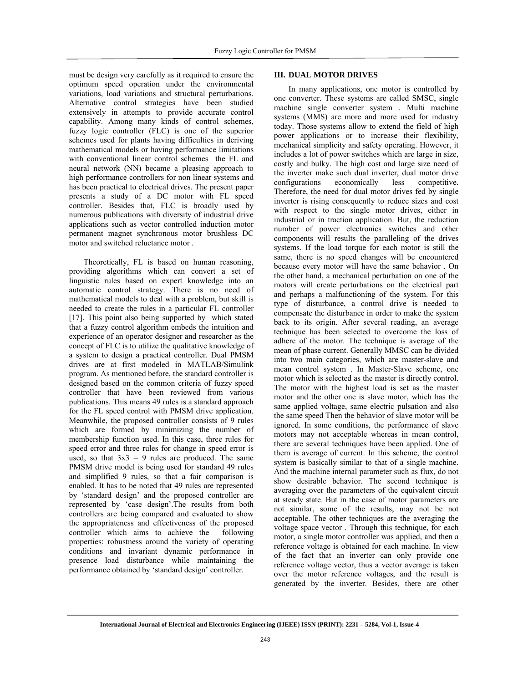must be design very carefully as it required to ensure the optimum speed operation under the environmental variations, load variations and structural perturbations. Alternative control strategies have been studied extensively in attempts to provide accurate control capability. Among many kinds of control schemes, fuzzy logic controller (FLC) is one of the superior schemes used for plants having difficulties in deriving mathematical models or having performance limitations with conventional linear control schemes the FL and neural network (NN) became a pleasing approach to high performance controllers for non linear systems and has been practical to electrical drives. The present paper presents a study of a DC motor with FL speed controller. Besides that, FLC is broadly used by numerous publications with diversity of industrial drive applications such as vector controlled induction motor permanent magnet synchronous motor brushless DC motor and switched reluctance motor .

 Theoretically, FL is based on human reasoning, providing algorithms which can convert a set of linguistic rules based on expert knowledge into an automatic control strategy. There is no need of mathematical models to deal with a problem, but skill is needed to create the rules in a particular FL controller [17]. This point also being supported by which stated that a fuzzy control algorithm embeds the intuition and experience of an operator designer and researcher as the concept of FLC is to utilize the qualitative knowledge of a system to design a practical controller. Dual PMSM drives are at first modeled in MATLAB/Simulink program. As mentioned before, the standard controller is designed based on the common criteria of fuzzy speed controller that have been reviewed from various publications. This means 49 rules is a standard approach for the FL speed control with PMSM drive application. Meanwhile, the proposed controller consists of 9 rules which are formed by minimizing the number of membership function used. In this case, three rules for speed error and three rules for change in speed error is used, so that  $3x3 = 9$  rules are produced. The same PMSM drive model is being used for standard 49 rules and simplified 9 rules, so that a fair comparison is enabled. It has to be noted that 49 rules are represented by 'standard design' and the proposed controller are represented by 'case design'.The results from both controllers are being compared and evaluated to show the appropriateness and effectiveness of the proposed controller which aims to achieve the following properties: robustness around the variety of operating conditions and invariant dynamic performance in presence load disturbance while maintaining the performance obtained by 'standard design' controller.

### **III. DUAL MOTOR DRIVES**

 In many applications, one motor is controlled by one converter. These systems are called SMSC, single machine single converter system . Multi machine systems (MMS) are more and more used for industry today. Those systems allow to extend the field of high power applications or to increase their flexibility, mechanical simplicity and safety operating. However, it includes a lot of power switches which are large in size, costly and bulky. The high cost and large size need of the inverter make such dual inverter, dual motor drive configurations economically less competitive. Therefore, the need for dual motor drives fed by single inverter is rising consequently to reduce sizes and cost with respect to the single motor drives, either in industrial or in traction application. But, the reduction number of power electronics switches and other components will results the paralleling of the drives systems. If the load torque for each motor is still the same, there is no speed changes will be encountered because every motor will have the same behavior . On the other hand, a mechanical perturbation on one of the motors will create perturbations on the electrical part and perhaps a malfunctioning of the system. For this type of disturbance, a control drive is needed to compensate the disturbance in order to make the system back to its origin. After several reading, an average technique has been selected to overcome the loss of adhere of the motor. The technique is average of the mean of phase current. Generally MMSC can be divided into two main categories, which are master-slave and mean control system . In Master-Slave scheme, one motor which is selected as the master is directly control. The motor with the highest load is set as the master motor and the other one is slave motor, which has the same applied voltage, same electric pulsation and also the same speed Then the behavior of slave motor will be ignored. In some conditions, the performance of slave motors may not acceptable whereas in mean control, there are several techniques have been applied. One of them is average of current. In this scheme, the control system is basically similar to that of a single machine. And the machine internal parameter such as flux, do not show desirable behavior. The second technique is averaging over the parameters of the equivalent circuit at steady state. But in the case of motor parameters are not similar, some of the results, may not be not acceptable. The other techniques are the averaging the voltage space vector . Through this technique, for each motor, a single motor controller was applied, and then a reference voltage is obtained for each machine. In view of the fact that an inverter can only provide one reference voltage vector, thus a vector average is taken over the motor reference voltages, and the result is generated by the inverter. Besides, there are other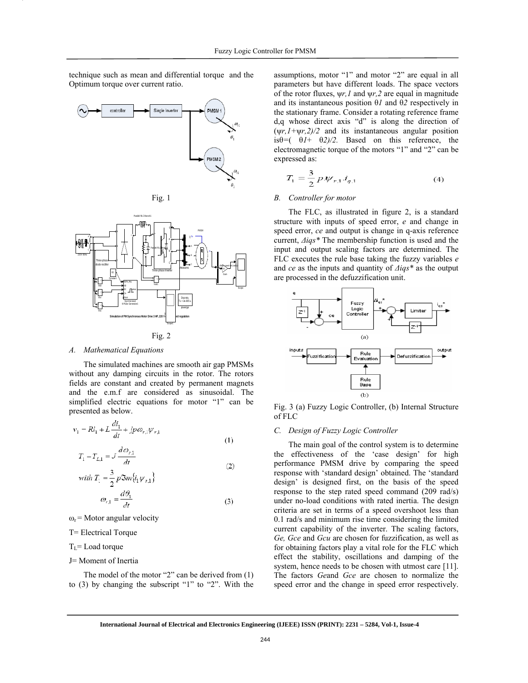technique such as mean and differential torque and the Optimum torque over current ratio.







*A. Mathematical Equations* 

 The simulated machines are smooth air gap PMSMs without any damping circuits in the rotor. The rotors fields are constant and created by permanent magnets and the e.m.f are considered as sinusoidal. The simplified electric equations for motor "1" can be presented as below.

$$
v_1 - Ri_1 + L \frac{di_1}{dt} + j p \omega_{r,1} \psi_{r,1}
$$
 (1)

$$
T_1 - T_{L,1} = J \frac{d\omega_{r,1}}{dt}
$$
\n<sup>(2)</sup>

with 
$$
T_1 = \frac{3}{2} p \Im m \{i_1 \psi_{r,1}\}
$$
  

$$
\omega_{r,1} = \frac{d\theta_1}{dt}
$$
 (3)

 $\omega_r$  = Motor angular velocity

T= Electrical Torque

 $T<sub>L</sub>=$  Load torque

J= Moment of Inertia

 The model of the motor "2" can be derived from (1) to (3) by changing the subscript "1" to "2". With the

assumptions, motor "1" and motor "2" are equal in all parameters but have different loads. The space vectors of the rotor fluxes, ψ*r,1* and ψ*r,2* are equal in magnitude and its instantaneous position θ*1* and θ*2* respectively in the stationary frame. Consider a rotating reference frame d,q whose direct axis "d" is along the direction of  $(\psi r, I + \psi r, 2)/2$  and its instantaneous angular position isθ*=*( θ*1*+ θ*2)/2.* Based on this reference, the electromagnetic torque of the motors "1" and "2" can be expressed as:

$$
T_1 = \frac{3}{2} p \Psi_{r,1} \dot{x}_{q,1}
$$
 (4)

#### *B. Controller for motor*

 The FLC, as illustrated in figure 2, is a standard structure with inputs of speed error, *e* and change in speed error, *ce* and output is change in q-axis reference current, *Δiqs\** The membership function is used and the input and output scaling factors are determined. The FLC executes the rule base taking the fuzzy variables *e*  and *ce* as the inputs and quantity of *Δiqs\** as the output are processed in the defuzzification unit.



Fig. 3 (a) Fuzzy Logic Controller, (b) Internal Structure of FLC

#### *C. Design of Fuzzy Logic Controller*

 The main goal of the control system is to determine the effectiveness of the 'case design' for high performance PMSM drive by comparing the speed response with 'standard design' obtained. The 'standard design' is designed first, on the basis of the speed response to the step rated speed command (209 rad/s) under no-load conditions with rated inertia. The design criteria are set in terms of a speed overshoot less than 0.1 rad/s and minimum rise time considering the limited current capability of the inverter. The scaling factors, *Ge, Gce* and *Gcu* are chosen for fuzzification, as well as for obtaining factors play a vital role for the FLC which effect the stability, oscillations and damping of the system, hence needs to be chosen with utmost care [11]. The factors *Ge*and *Gce* are chosen to normalize the speed error and the change in speed error respectively.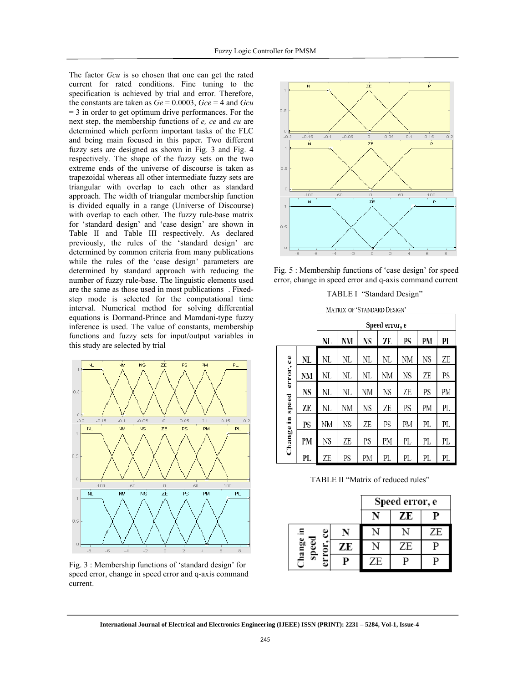The factor *Gcu* is so chosen that one can get the rated current for rated conditions. Fine tuning to the specification is achieved by trial and error. Therefore, the constants are taken as  $Ge = 0.0003$ ,  $Gce = 4$  and  $Gcu$ = 3 in order to get optimum drive performances. For the next step, the membership functions of *e, ce* and *cu* are determined which perform important tasks of the FLC and being main focused in this paper. Two different fuzzy sets are designed as shown in Fig. 3 and Fig. 4 respectively. The shape of the fuzzy sets on the two extreme ends of the universe of discourse is taken as trapezoidal whereas all other intermediate fuzzy sets are triangular with overlap to each other as standard approach. The width of triangular membership function is divided equally in a range (Universe of Discourse) with overlap to each other. The fuzzy rule-base matrix for 'standard design' and 'case design' are shown in Table II and Table III respectively. As declared previously, the rules of the 'standard design' are determined by common criteria from many publications while the rules of the 'case design' parameters are determined by standard approach with reducing the number of fuzzy rule-base. The linguistic elements used are the same as those used in most publications . Fixedstep mode is selected for the computational time interval. Numerical method for solving differential equations is Dormand-Prince and Mamdani-type fuzzy inference is used. The value of constants, membership functions and fuzzy sets for input/output variables in this study are selected by trial



Fig. 3 : Membership functions of 'standard design' for speed error, change in speed error and q-axis command current.



Fig. 5 : Membership functions of 'case design' for speed error, change in speed error and q-axis command current

TABLE I "Standard Design"

MATRIX OF 'STANDARD DESIGN'

|                                 |    | Speed error, e |    |    |                |    |    |    |  |
|---------------------------------|----|----------------|----|----|----------------|----|----|----|--|
|                                 |    | NL             | NM | NS | ZE             | PS | PM | PL |  |
| error, ce<br>speed<br>Change in | NL | NL             | NL | NL | N <sub>L</sub> | NM | NS | ZE |  |
|                                 | NM | NL             | NL | NL | NM             | NS | ZE | PS |  |
|                                 | NS | NL             | NL | NM | NS             | ΖE | PS | PM |  |
|                                 | ZE | NL             | NΜ | NS | ZE             | PS | PМ | PL |  |
|                                 | PS | NM             | NS | ZE | PS             | PМ | PL | PL |  |
|                                 | PM | NS             | ZE | PS | PM             | PL | PL | PL |  |
|                                 | PL | ZE             | PS | PM | PL             | PL | PL | PL |  |

TABLE II "Matrix of reduced rules"

|    |    | Speed error, e |    |    |  |
|----|----|----------------|----|----|--|
|    |    |                | ZE | P  |  |
| л≡ |    |                |    | ZE |  |
|    | ZE |                | ZE | D  |  |
|    | р  | ZE             |    | D  |  |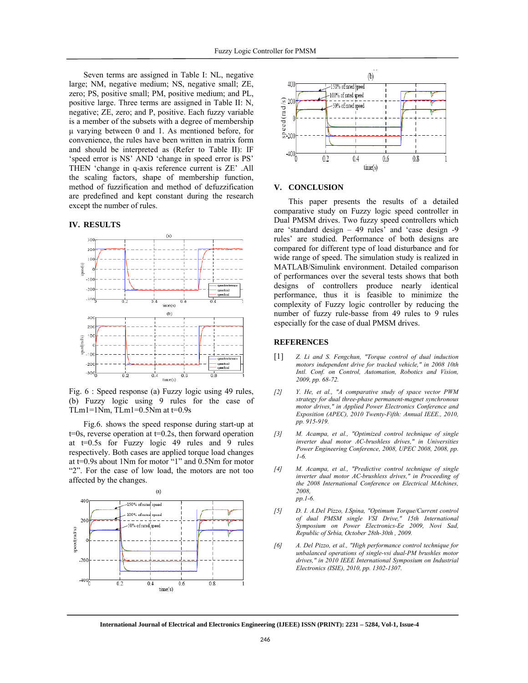Seven terms are assigned in Table I: NL, negative large; NM, negative medium; NS, negative small; ZE, zero; PS, positive small; PM, positive medium; and PL, positive large. Three terms are assigned in Table II: N, negative; ZE, zero; and P, positive. Each fuzzy variable is a member of the subsets with a degree of membership μ varying between 0 and 1. As mentioned before, for convenience, the rules have been written in matrix form and should be interpreted as (Refer to Table II): IF 'speed error is NS' AND 'change in speed error is PS' THEN 'change in q-axis reference current is ZE' .All the scaling factors, shape of membership function, method of fuzzification and method of defuzzification are predefined and kept constant during the research except the number of rules.

#### **IV. RESULTS**



Fig. 6 : Speed response (a) Fuzzy logic using 49 rules, (b) Fuzzy logic using 9 rules for the case of TLm1=1Nm, TLm1= $0.5$ Nm at  $t=0.9$ s

 Fig.6. shows the speed response during start-up at t=0s, reverse operation at t=0.2s, then forward operation at t=0.5s for Fuzzy logic 49 rules and 9 rules respectively. Both cases are applied torque load changes at t=0.9s about 1Nm for motor "1" and 0.5Nm for motor "2". For the case of low load, the motors are not too affected by the changes.





#### **V. CONCLUSION**

 This paper presents the results of a detailed comparative study on Fuzzy logic speed controller in Dual PMSM drives. Two fuzzy speed controllers which are 'standard design – 49 rules' and 'case design -9 rules' are studied. Performance of both designs are compared for different type of load disturbance and for wide range of speed. The simulation study is realized in MATLAB/Simulink environment. Detailed comparison of performances over the several tests shows that both designs of controllers produce nearly identical performance, thus it is feasible to minimize the complexity of Fuzzy logic controller by reducing the number of fuzzy rule-basse from 49 rules to 9 rules especially for the case of dual PMSM drives.

## **REFERENCES**

- [1] *Z. Li and S. Fengchun, "Torque control of dual induction motors independent drive for tracked vehicle," in 2008 10th Intl. Conf. on Control, Automation, Robotics and Vision, 2009, pp. 68-72.*
- *[2] Y. He, et al., "A comparative study of space vector PWM strategy for dual three-phase permanent-magnet synchronous motor drives," in Applied Power Electronics Conference and Exposition (APEC), 2010 Twenty-Fifth: Annual IEEE., 2010, pp. 915-919.*
- *[3] M. Acampa, et al., "Optimized control technique of single inverter dual motor AC-brushless drives," in Universities*  Power Engineering Conference, 2008, UPEC 2008, 2008, pp. *1-6.*
- *[4] M. Acampa, et al., "Predictive control technique of single inverter dual motor AC-brushless drives," in Proceeding of the 2008 International Conference on Electrical MAchines, 2008, pp.1-6.*
- *[5] D. I. A.Del Pizzo, I.Spina, "Optimum Torque/Current control of dual PMSM single VSI Drive," 15th International Symposium on Power Electronics-Ee 2009, Novi Sad, Republic of Srbia, October 28th-30th , 2009.*
- *[6] A. Del Pizzo, et al., "High performance control technique for unbalanced operations of single-vsi dual-PM brushles motor drives," in 2010 IEEE International Symposium on Industrial Electronics (ISIE), 2010, pp. 1302-1307.*

**International Journal of Electrical and Electronics Engineering (IJEEE) ISSN (PRINT): 2231 – 5284, Vol-1, Issue-4**